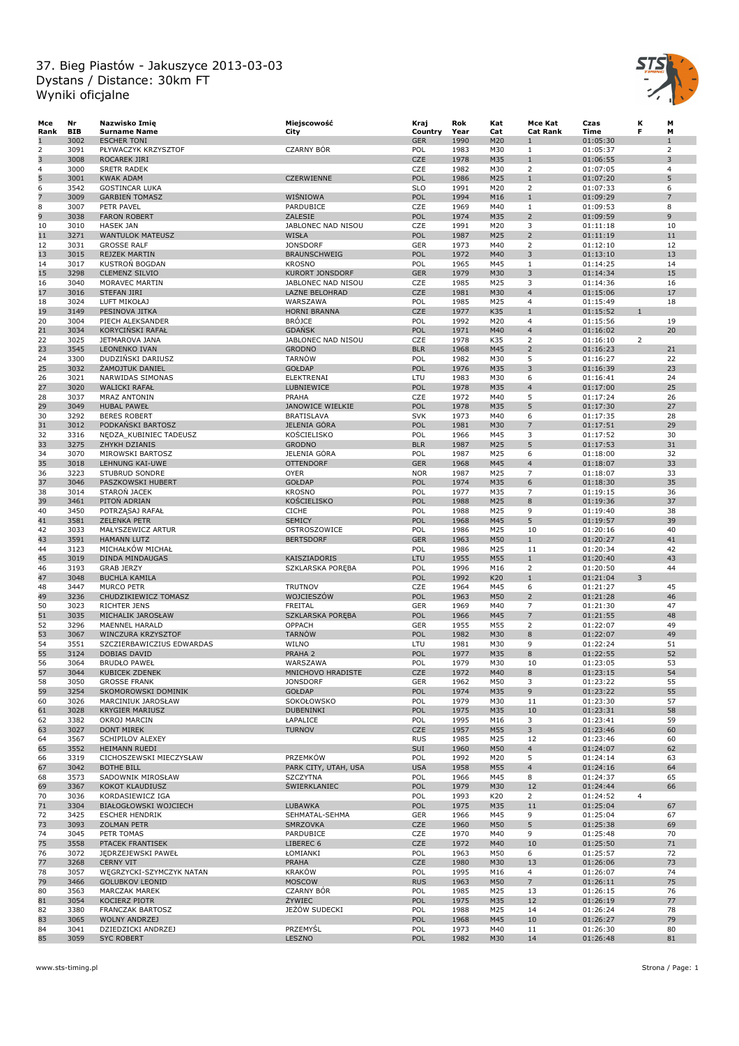

| Mce  | Nr         | Nazwisko Imie             | Miejscowość           | Kraj       | Rok  | Kat | Mce Kat                 | Czas     | Κ              | М              |
|------|------------|---------------------------|-----------------------|------------|------|-----|-------------------------|----------|----------------|----------------|
| Rank | <b>BIB</b> | <b>Surname Name</b>       | City                  | Country    | Year | Cat | <b>Cat Rank</b>         | Time     | F              | М              |
| ш    | 3002       | <b>ESCHER TONI</b>        |                       | <b>GER</b> | 1990 | M20 | 1                       | 01:05:30 |                | $\mathbf{1}$   |
| 2    | 3091       | PŁYWACZYK KRZYSZTOF       | <b>CZARNY BÓR</b>     | POL        | 1983 | M30 | 1                       | 01:05:37 |                | 2              |
| 3    | 3008       | <b>ROCAREK JIRI</b>       |                       | CZE        | 1978 | M35 | $\mathbf{1}$            | 01:06:55 |                | 3              |
| 4    | 3000       |                           |                       | CZE        | 1982 |     | 2                       |          |                | 4              |
|      |            | <b>SRETR RADEK</b>        |                       |            |      | M30 |                         | 01:07:05 |                |                |
| 5    | 3001       | <b>KWAK ADAM</b>          | CZERWIENNE            | POL        | 1986 | M25 | $\mathbf{1}$            | 01:07:20 |                | 5              |
| 6    | 3542       | <b>GOSTINCAR LUKA</b>     |                       | <b>SLO</b> | 1991 | M20 | $\overline{2}$          | 01:07:33 |                | 6              |
| 7    | 3009       | <b>GARBIEN TOMASZ</b>     | WIŚNIOWA              | POL        | 1994 | M16 | $1\,$                   | 01:09:29 |                | $\overline{7}$ |
| 8    | 3007       | PETR PAVEL                | PARDUBICE             | CZE        | 1969 | M40 | $\mathbf{1}$            | 01:09:53 |                | 8              |
| 9    | 3038       | <b>FARON ROBERT</b>       | ZALESIE               | POL        | 1974 | M35 | $\overline{2}$          | 01:09:59 |                | $\overline{9}$ |
| 10   | 3010       | <b>HASEK JAN</b>          | JABLONEC NAD NISOU    | CZE        | 1991 | M20 | 3                       | 01:11:18 |                | 10             |
| 11   | 3271       | <b>WANTULOK MATEUSZ</b>   | WISŁA                 | POL        | 1987 | M25 | $\overline{2}$          | 01:11:19 |                | 11             |
|      |            |                           |                       |            |      |     |                         |          |                |                |
| 12   | 3031       | <b>GROSSE RALF</b>        | <b>JONSDORF</b>       | GER        | 1973 | M40 | 2                       | 01:12:10 |                | 12             |
| 13   | 3015       | REJZEK MARTIN             | <b>BRAUNSCHWEIG</b>   | POL        | 1972 | M40 | 3                       | 01:13:10 |                | 13             |
| 14   | 3017       | KUSTROŃ BOGDAN            | <b>KROSNO</b>         | POL        | 1965 | M45 | $\mathbf{1}$            | 01:14:25 |                | 14             |
| 15   | 3298       | <b>CLEMENZ SILVIO</b>     | KURORT JONSDORF       | <b>GER</b> | 1979 | M30 | 3                       | 01:14:34 |                | 15             |
| 16   | 3040       | MORAVEC MARTIN            | JABLONEC NAD NISOU    | CZE        | 1985 | M25 | 3                       | 01:14:36 |                | 16             |
| 17   | 3016       | <b>STEFAN JIRI</b>        | <b>LAZNE BELOHRAD</b> | CZE        | 1981 | M30 | $\overline{4}$          | 01:15:06 |                | 17             |
| 18   | 3024       | LUFT MIKOŁAJ              | WARSZAWA              | POL        | 1985 | M25 | $\overline{4}$          | 01:15:49 |                | 18             |
|      |            |                           |                       |            |      |     |                         |          |                |                |
| 19   | 3149       | PESINOVA JITKA            | <b>HORNI BRANNA</b>   | CZE        | 1977 | K35 | $1\,$                   | 01:15:52 | $\mathbf{1}$   |                |
| 20   | 3004       | PIECH ALEKSANDER          | <b>BRÓJCE</b>         | POL        | 1992 | M20 | $\overline{4}$          | 01:15:56 |                | 19             |
| 21   | 3034       | KORYCINSKI RAFAŁ          | <b>GDAŃSK</b>         | POL        | 1971 | M40 | $\overline{4}$          | 01:16:02 |                | 20             |
| 22   | 3025       | JETMAROVA JANA            | JABLONEC NAD NISOU    | CZE        | 1978 | K35 | 2                       | 01:16:10 | $\overline{2}$ |                |
| 23   | 3545       | LEONENKO IVAN             | <b>GRODNO</b>         | <b>BLR</b> | 1968 | M45 | $\overline{2}$          | 01:16:23 |                | 21             |
| 24   | 3300       | DUDZIŃSKI DARIUSZ         | <b>TARNÓW</b>         | POL        | 1982 | M30 | 5                       | 01:16:27 |                | 22             |
| 25   | 3032       | ŻAMOJTUK DANIEL           | <b>GOŁDAP</b>         | POL        | 1976 | M35 | 3                       | 01:16:39 |                | 23             |
| 26   | 3021       | NARWIDAS SIMONAS          | <b>ELEKTRENAI</b>     | LTU        | 1983 | M30 | 6                       | 01:16:41 |                | 24             |
|      |            |                           |                       |            |      |     |                         |          |                |                |
| 27   | 3020       | <b>WALICKI RAFAŁ</b>      | LUBNIEWICE            | POL        | 1978 | M35 | 4                       | 01:17:00 |                | 25             |
| 28   | 3037       | <b>MRAZ ANTONIN</b>       | PRAHA                 | CZE        | 1972 | M40 | 5                       | 01:17:24 |                | 26             |
| 29   | 3049       | <b>HUBAL PAWEŁ</b>        | JANOWICE WIELKIE      | POL        | 1978 | M35 | 5                       | 01:17:30 |                | 27             |
| 30   | 3292       | <b>BERES ROBERT</b>       | <b>BRATISLAVA</b>     | <b>SVK</b> | 1973 | M40 | 6                       | 01:17:35 |                | 28             |
| 31   | 3012       | PODKAŃSKI BARTOSZ         | <b>JELENIA GÓRA</b>   | POL        | 1981 | M30 | $\overline{7}$          | 01:17:51 |                | 29             |
| 32   | 3316       | NEDZA KUBINIEC TADEUSZ    | KOŚCIELISKO           | POL        | 1966 | M45 | 3                       | 01:17:52 |                | 30             |
|      |            |                           |                       |            |      |     |                         |          |                |                |
| 33   | 3275       | ZHYKH DZIANIS             | <b>GRODNO</b>         | <b>BLR</b> | 1987 | M25 | 5                       | 01:17:53 |                | 31             |
| 34   | 3070       | MIROWSKI BARTOSZ          | JELENIA GÓRA          | POL        | 1987 | M25 | 6                       | 01:18:00 |                | 32             |
| 35   | 3018       | LEHNUNG KAI-UWE           | <b>OTTENDORF</b>      | <b>GER</b> | 1968 | M45 | $\overline{\mathbf{4}}$ | 01:18:07 |                | 33             |
| 36   | 3223       | <b>STUBRUD SONDRE</b>     | <b>OYER</b>           | <b>NOR</b> | 1987 | M25 | $\overline{7}$          | 01:18:07 |                | 33             |
| 37   | 3046       | PASZKOWSKI HUBERT         | <b>GOŁDAP</b>         | POL        | 1974 | M35 | 6                       | 01:18:30 |                | 35             |
| 38   | 3014       | STARON JACEK              | <b>KROSNO</b>         | POL        | 1977 | M35 | $\overline{7}$          | 01:19:15 |                | 36             |
|      |            |                           |                       |            |      |     |                         |          |                |                |
| 39   | 3461       | PITOŃ ADRIAN              | KOŚCIELISKO           | POL        | 1988 | M25 | 8                       | 01:19:36 |                | 37             |
| 40   | 3450       | POTRZĄSAJ RAFAŁ           | <b>CICHE</b>          | POL        | 1988 | M25 | 9                       | 01:19:40 |                | 38             |
| 41   | 3581       | <b>ZELENKA PETR</b>       | <b>SEMICY</b>         | POL        | 1968 | M45 | 5                       | 01:19:57 |                | 39             |
| 42   | 3033       | MAŁYSZEWICZ ARTUR         | OSTROSZOWICE          | POL        | 1986 | M25 | 10                      | 01:20:16 |                | 40             |
| 43   | 3591       | <b>HAMANN LUTZ</b>        | <b>BERTSDORF</b>      | <b>GER</b> | 1963 | M50 | $\mathbf{1}$            | 01:20:27 |                | 41             |
| 44   | 3123       | MICHAŁKÓW MICHAŁ          |                       | POL        | 1986 | M25 | 11                      | 01:20:34 |                | 42             |
| 45   | 3019       | DINDA MINDAUGAS           | KAISZIADORIS          | LTU        | 1955 | M55 | $\mathbf{1}$            | 01:20:40 |                | 43             |
|      |            |                           |                       |            |      |     |                         |          |                |                |
| 46   | 3193       | <b>GRAB JERZY</b>         | SZKLARSKA PORĘBA      | POL        | 1996 | M16 | $\overline{2}$          | 01:20:50 |                | 44             |
| 47   | 3048       | <b>BUCHLA KAMILA</b>      |                       | POL        | 1992 | K20 | $1\,$                   | 01:21:04 | 3              |                |
| 48   | 3447       | <b>MURCO PETR</b>         | <b>TRUTNOV</b>        | CZE        | 1964 | M45 | 6                       | 01:21:27 |                | 45             |
| 49   | 3236       | CHUDZIKIEWICZ TOMASZ      | WOJCIESZÓW            | POL        | 1963 | M50 | $\overline{2}$          | 01:21:28 |                | 46             |
| 50   | 3023       | RICHTER JENS              | <b>FREITAL</b>        | GER        | 1969 | M40 | $\overline{7}$          | 01:21:30 |                | 47             |
| 51   | 3035       | MICHALIK JAROSŁAW         | SZKLARSKA PORĘBA      | POL        | 1966 | M45 | $\overline{7}$          | 01:21:55 |                | 48             |
| 52   | 3296       | MAENNEL HARALD            | OPPACH                | GER        | 1955 | M55 | 2                       | 01:22:07 |                | 49             |
|      |            |                           |                       | POL        | 1982 |     | 8                       |          |                | 49             |
| 53   | 3067       | WINCZURA KRZYSZTOF        | <b>TARNÓW</b>         |            |      | M30 |                         | 01:22:07 |                |                |
| 54   | 3551       | SZCZIERBAWICZIUS EDWARDAS | WILNO                 | LTU        | 1981 | M30 | 9                       | 01:22:24 |                | 51             |
| 55   | 3124       | DOBIAS DAVID              | PRAHA 2               | POL        | 1977 | M35 | 8                       | 01:22:55 |                | 52             |
| 56   | 3064       | <b>BRUDŁO PAWEŁ</b>       | WARSZAWA              | POL        | 1979 | M30 | 10                      | 01:23:05 |                | 53             |
| 57   | 3044       | KUBICEK ZDENEK            | MNICHOVO HRADISTE     | <b>CZE</b> | 1972 | M40 | 8                       | 01:23:15 |                | 54             |
| 58   | 3050       | <b>GROSSE FRANK</b>       | <b>JONSDORF</b>       | GER        | 1962 | M50 | 3                       | 01:23:22 |                | 55             |
| 59   | 3254       | SKOMOROWSKI DOMINIK       | <b>GOŁDAP</b>         | POL        | 1974 | M35 | 9                       | 01:23:22 |                | 55             |
| 60   | 3026       |                           | SOKOŁOWSKO            | POL        | 1979 | M30 | 11                      | 01:23:30 |                | 57             |
|      |            | MARCINIUK JAROSŁAW        |                       |            |      |     |                         |          |                |                |
| 61   | 3028       | <b>KRYGIER MARIUSZ</b>    | DUBENINKI             | POL        | 1975 | M35 | 10                      | 01:23:31 |                | 58             |
| 62   | 3382       | OKROJ MARCIN              | ŁAPALICE              | POL        | 1995 | M16 | 3                       | 01:23:41 |                | 59             |
| 63   | 3027       | DONT MIREK                | <b>TURNOV</b>         | CZE        | 1957 | M55 | 3                       | 01:23:46 |                | 60             |
| 64   | 3567       | SCHIPILOV ALEXEY          |                       | <b>RUS</b> | 1985 | M25 | 12                      | 01:23:46 |                | 60             |
| 65   | 3552       | HEIMANN RUEDI             |                       | SUI        | 1960 | M50 | $\overline{4}$          | 01:24:07 |                | 62             |
| 66   | 3319       | CICHOSZEWSKI MIECZYSŁAW   | PRZEMKÓW              | POL        | 1992 | M20 | 5                       | 01:24:14 |                | 63             |
| 67   | 3042       |                           | PARK CITY, UTAH, USA  | <b>USA</b> |      |     |                         |          |                | 64             |
|      |            | <b>BOTHE BILL</b>         |                       |            | 1958 | M55 | $\overline{4}$          | 01:24:16 |                |                |
| 68   | 3573       | SADOWNIK MIROSŁAW         | <b>SZCZYTNA</b>       | POL        | 1966 | M45 | 8                       | 01:24:37 |                | 65             |
| 69   | 3367       | KOKOT KLAUDIUSZ           | <b>SWIERKLANIEC</b>   | POL        | 1979 | M30 | 12                      | 01:24:44 |                | 66             |
| 70   | 3036       | KORDASIEWICZ IGA          |                       | POL        | 1993 | K20 | 2                       | 01:24:52 | 4              |                |
| 71   | 3304       | BIAŁOGŁOWSKI WOJCIECH     | LUBAWKA               | POL        | 1975 | M35 | 11                      | 01:25:04 |                | 67             |
| 72   | 3425       | <b>ESCHER HENDRIK</b>     | SEHMATAL-SEHMA        | <b>GER</b> | 1966 | M45 | 9                       | 01:25:04 |                | 67             |
| 73   | 3093       | <b>ZOLMAN PETR</b>        |                       | CZE        |      |     | 5                       |          |                | 69             |
|      |            |                           | SMRZOVKA              |            | 1960 | M50 |                         | 01:25:38 |                |                |
| 74   | 3045       | PETR TOMAS                | PARDUBICE             | CZE        | 1970 | M40 | 9                       | 01:25:48 |                | 70             |
| 75   | 3558       | PTACEK FRANTISEK          | LIBEREC 6             | CZE        | 1972 | M40 | 10                      | 01:25:50 |                | 71             |
| 76   | 3072       | JĘDRZEJEWSKI PAWEŁ        | ŁOMIANKI              | POL        | 1963 | M50 | 6                       | 01:25:57 |                | 72             |
| 77   | 3268       | <b>CERNY VIT</b>          | PRAHA                 | CZE        | 1980 | M30 | 13                      | 01:26:06 |                | 73             |
| 78   | 3057       | WĘGRZYCKI-SZYMCZYK NATAN  | <b>KRAKÓW</b>         | POL        | 1995 | M16 | $\overline{4}$          | 01:26:07 |                | 74             |
| 79   | 3466       | <b>GOLUBKOV LEONID</b>    | <b>MOSCOW</b>         | <b>RUS</b> | 1963 | M50 | $\overline{7}$          | 01:26:11 |                | 75             |
|      |            |                           |                       |            |      |     |                         |          |                |                |
| 80   | 3563       | MARCZAK MAREK             | <b>CZARNY BÓR</b>     | POL        | 1985 | M25 | 13                      | 01:26:15 |                | 76             |
| 81   | 3054       | KOCIERZ PIOTR             | ŻYWIEC                | POL        | 1975 | M35 | 12                      | 01:26:19 |                | 77             |
| 82   | 3380       | FRANCZAK BARTOSZ          | JEŻÓW SUDECKI         | POL        | 1988 | M25 | 14                      | 01:26:24 |                | 78             |
| 83   | 3065       | <b>WOLNY ANDRZEJ</b>      |                       | POL        | 1968 | M45 | 10                      | 01:26:27 |                | 79             |
| 84   | 3041       | DZIEDZICKI ANDRZEJ        | PRZEMYŚL              | POL        | 1973 | M40 | 11                      | 01:26:30 |                | 80             |
| 85   | 3059       | <b>SYC ROBERT</b>         | LESZNO                | POL        | 1982 | M30 | 14                      | 01:26:48 |                | 81             |
|      |            |                           |                       |            |      |     |                         |          |                |                |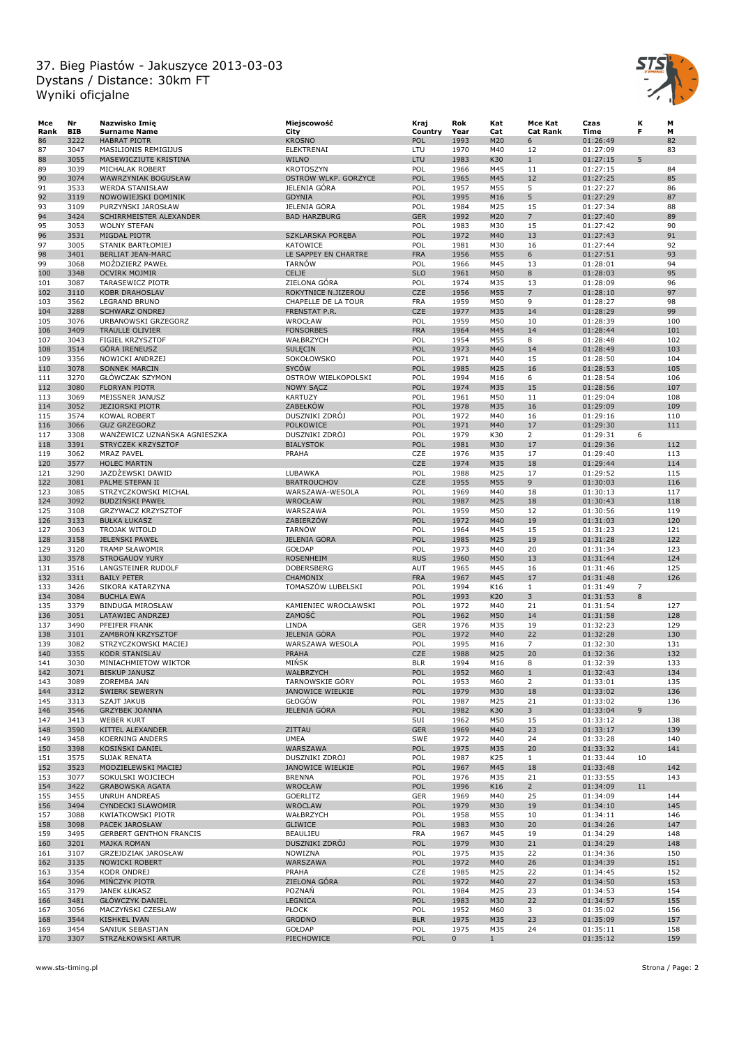

| Mce  | Nr         | Nazwisko Imię                  | Miejscowość            | Kraj       | Rok         | Kat          | Mce Kat         | Czas     | К              | м   |
|------|------------|--------------------------------|------------------------|------------|-------------|--------------|-----------------|----------|----------------|-----|
| Rank | <b>BIB</b> | <b>Surname Name</b>            | City                   | Country    | Year        | Cat          | <b>Cat Rank</b> | Time     | F              | М   |
| 86   | 3222       | <b>HABRAT PIOTR</b>            | <b>KROSNO</b>          | POL        | 1993        | M20          | 6               | 01:26:49 |                | 82  |
| 87   | 3047       | MASILIONIS REMIGIJUS           | ELEKTRENAI             | LTU        | 1970        | M40          | 12              | 01:27:09 |                | 83  |
| 88   | 3055       | MASEWICZIUTE KRISTINA          | <b>WILNO</b>           | LTU        | 1983        | K30          | $\mathbf{1}$    | 01:27:15 | 5              |     |
| 89   | 3039       | MICHALAK ROBERT                | <b>KROTOSZYN</b>       | POL        | 1966        | M45          | 11              | 01:27:15 |                | 84  |
| 90   | 3074       | WAWRZYNIAK BOGUSŁAW            | OSTRÓW WLKP. GORZYCE   | POL        | 1965        | M45          | 12              | 01:27:25 |                | 85  |
| 91   | 3533       | <b>WERDA STANISŁAW</b>         | JELENIA GÓRA           | POL        | 1957        | M55          | 5               | 01:27:27 |                | 86  |
| 92   | 3119       | NOWOWIEJSKI DOMINIK            | <b>GDYNIA</b>          | POL        | 1995        | M16          | 5               | 01:27:29 |                | 87  |
| 93   | 3109       | PURZYŃSKI JAROSŁAW             | JELENIA GÓRA           | POL        | 1984        | M25          | 15              | 01:27:34 |                | 88  |
| 94   | 3424       | SCHIRRMEISTER ALEXANDER        | <b>BAD HARZBURG</b>    | <b>GER</b> | 1992        | M20          | $\overline{7}$  | 01:27:40 |                | 89  |
| 95   | 3053       | <b>WOLNY STEFAN</b>            |                        | POL        | 1983        | M30          | 15              | 01:27:42 |                | 90  |
| 96   | 3531       | MIGDAŁ PIOTR                   | SZKLARSKA PORĘBA       | POL        | 1972        | M40          | 13              | 01:27:43 |                | 91  |
| 97   | 3005       | STANIK BARTŁOMIEJ              | KATOWICE               | POL        | 1981        | M30          | 16              | 01:27:44 |                | 92  |
| 98   | 3401       | <b>BERLIAT JEAN-MARC</b>       | LE SAPPEY EN CHARTRE   | <b>FRA</b> | 1956        | M55          | 6               | 01:27:51 |                | 93  |
| 99   | 3068       | MOŻDZIERZ PAWEŁ                | <b>TARNÓW</b>          | POL        | 1966        | M45          | 13              | 01:28:01 |                | 94  |
| 100  | 3348       | <b>OCVIRK MOJMIR</b>           | CELJE                  | <b>SLO</b> | 1961        | M50          | 8               | 01:28:03 |                | 95  |
| 101  | 3087       | <b>TARASEWICZ PIOTR</b>        | ZIELONA GÓRA           | POL        | 1974        | M35          | 13              | 01:28:09 |                | 96  |
| 102  | 3110       | <b>KOBR DRAHOSLAV</b>          | ROKYTNICE N.JIZEROU    | <b>CZE</b> | 1956        | M55          | $\overline{7}$  | 01:28:10 |                | 97  |
| 103  | 3562       | <b>LEGRAND BRUNO</b>           | CHAPELLE DE LA TOUR    | <b>FRA</b> | 1959        | M50          | 9               | 01:28:27 |                | 98  |
| 104  | 3288       | <b>SCHWARZ ONDREJ</b>          | FRENSTAT P.R.          | <b>CZE</b> | 1977        | M35          | 14              | 01:28:29 |                | 99  |
| 105  | 3076       | URBANOWSKI GRZEGORZ            | WROCŁAW                | POL        | 1959        | M50          | 10              | 01:28:39 |                | 100 |
| 106  | 3409       | <b>TRAULLE OLIVIER</b>         | <b>FONSORBES</b>       | <b>FRA</b> | 1964        | M45          | 14              | 01:28:44 |                | 101 |
| 107  | 3043       | FIGIEL KRZYSZTOF               | WAŁBRZYCH              | POL        | 1954        | M55          | 8               | 01:28:48 |                | 102 |
| 108  | 3514       | <b>GÓRA IRENEUSZ</b>           | <b>SULECIN</b>         | POL        | 1973        | M40          | 14              | 01:28:49 |                | 103 |
| 109  | 3356       | NOWICKI ANDRZEJ                | SOKOŁOWSKO             | POL        | 1971        | M40          | 15              | 01:28:50 |                | 104 |
| 110  | 3078       | <b>SONNEK MARCIN</b>           | <b>SYCÓW</b>           | POL        | 1985        | M25          | 16              | 01:28:53 |                | 105 |
| 111  | 3270       | GŁÓWCZAK SZYMON                | OSTRÓW WIELKOPOLSKI    | POL        | 1994        | M16          | 6               | 01:28:54 |                | 106 |
| 112  | 3080       | <b>FLORYAN PIOTR</b>           | <b>NOWY SACZ</b>       | POL        | 1974        | M35          | 15              | 01:28:56 |                | 107 |
| 113  | 3069       | MEISSNER JANUSZ                | KARTUZY                | POL        | 1961        | M50          | 11              | 01:29:04 |                | 108 |
| 114  | 3052       | <b>JEZIORSKI PIOTR</b>         | ZABEŁKÓW               | POL        | 1978        | M35          | 16              | 01:29:09 |                | 109 |
| 115  | 3574       | KOWAL ROBERT                   | DUSZNIKI ZDRÓJ         | POL        | 1972        | M40          | 16              | 01:29:16 |                | 110 |
| 116  | 3066       | <b>GUZ GRZEGORZ</b>            | POLKOWICE              | POL        | 1971        | M40          | 17              | 01:29:30 |                | 111 |
| 117  | 3308       | WANŻEWICZ UZNAŃSKA AGNIESZKA   | DUSZNIKI ZDRÓJ         | POL        | 1979        | K30          | $\overline{2}$  | 01:29:31 | 6              |     |
| 118  | 3391       | STRYCZEK KRZYSZTOF             | <b>BIALYSTOK</b>       | POL        | 1981        | M30          | 17              | 01:29:36 |                | 112 |
| 119  | 3062       | <b>MRAZ PAVEL</b>              | PRAHA                  | CZE        | 1976        | M35          | 17              | 01:29:40 |                | 113 |
| 120  | 3577       | <b>HOLEC MARTIN</b>            |                        | <b>CZE</b> | 1974        | M35          | 18              | 01:29:44 |                | 114 |
| 121  | 3290       | JAZDŻEWSKI DAWID               | LUBAWKA                | POL        | 1988        | M25          | 17              | 01:29:52 |                | 115 |
| 122  | 3081       | PALME STEPAN II                | <b>BRATROUCHOV</b>     | CZE        | 1955        | M55          | 9               | 01:30:03 |                | 116 |
| 123  | 3085       | STRZYCZKOWSKI MICHAL           | WARSZAWA-WESOLA        | POL        | 1969        | M40          | 18              | 01:30:13 |                | 117 |
| 124  | 3092       | <b>BUDZIŃSKI PAWEŁ</b>         | WROCŁAW                | POL        | 1987        | M25          | 18              | 01:30:43 |                | 118 |
| 125  | 3108       | GRZYWACZ KRZYSZTOF             | WARSZAWA               | POL        | 1959        | M50          | 12              | 01:30:56 |                | 119 |
| 126  | 3133       | <b>BUŁKA ŁUKASZ</b>            | ZABIERZÓW              | POL        | 1972        | M40          | 19              | 01:31:03 |                | 120 |
| 127  | 3063       | TROJAK WITOLD                  | <b>TARNÓW</b>          | POL        | 1964        | M45          | 15              | 01:31:23 |                | 121 |
| 128  | 3158       | <b>JELENSKI PAWEŁ</b>          | <b>JELENIA GÓRA</b>    | POL        | 1985        | M25          | 19              | 01:31:28 |                | 122 |
| 129  | 3120       | <b>TRAMP SŁAWOMIR</b>          | GOŁDAP                 | POL        | 1973        | M40          | 20              | 01:31:34 |                | 123 |
| 130  | 3578       | <b>STROGAUOV YURY</b>          | <b>ROSENHEIM</b>       | <b>RUS</b> | 1960        | M50          | 13              | 01:31:44 |                | 124 |
| 131  | 3516       | LANGSTEINER RUDOLF             | <b>DOBERSBERG</b>      | <b>AUT</b> | 1965        | M45          | 16              | 01:31:46 |                | 125 |
|      | 3311       |                                |                        | <b>FRA</b> | 1967        | M45          |                 |          |                |     |
| 132  |            | <b>BAILY PETER</b>             | CHAMONIX               |            |             |              | 17              | 01:31:48 | $\overline{7}$ | 126 |
| 133  | 3426       | SIKORA KATARZYNA               | TOMASZÓW LUBELSKI      | POL        | 1994        | K16          | $\mathbf{1}$    | 01:31:49 |                |     |
| 134  | 3084       | <b>BUCHLA EWA</b>              |                        | POL        | 1993        | K20          | 3               | 01:31:53 | 8              |     |
| 135  | 3379       | <b>BINDUGA MIROSŁAW</b>        | KAMIENIEC WROCŁAWSKI   | POL        | 1972        | M40          | 21              | 01:31:54 |                | 127 |
| 136  | 3051       | LATAWIEC ANDRZEJ               | ZAMOŚĆ                 | POL        | 1962        | M50          | 14              | 01:31:58 |                | 128 |
| 137  | 3490       | PFEIFER FRANK                  | LINDA                  | GER        | 1976        | M35          | 19              | 01:32:23 |                | 129 |
| 138  | 3101       | ZAMBRON KRZYSZTOF              | <b>JELENIA GÓRA</b>    | POL        | 1972        | M40          | 22              | 01:32:28 |                | 130 |
| 139  | 3082       | STRZYCZKOWSKI MACIEJ           | WARSZAWA WESOLA        | POL        | 1995        | M16          | $\overline{7}$  | 01:32:30 |                | 131 |
| 140  | 3355       | <b>KODR STANISLAV</b>          | <b>PRAHA</b>           | <b>CZE</b> | 1988        | M25          | 20              | 01:32:36 |                | 132 |
| 141  | 3030       | MINIACHMIETOW WIKTOR           | MIŃSK                  | <b>BLR</b> | 1994        | M16          | 8               | 01:32:39 |                | 133 |
| 142  | 3071       | <b>BISKUP JANUSZ</b>           | WAŁBRZYCH              | POL        | 1952        | M60          | $\mathbf{1}$    | 01:32:43 |                | 134 |
| 143  | 3089       | ZOREMBA JAN                    | <b>TARNOWSKIE GÓRY</b> | POL        | 1953        | M60          | 2               | 01:33:01 |                | 135 |
| 144  | 3312       | <b>ŚWIERK SEWERYN</b>          | JANOWICE WIELKIE       | POL        | 1979        | M30          | 18              | 01:33:02 |                | 136 |
| 145  | 3313       | SZAJT JAKUB                    | GŁOGÓW                 | POL        | 1987        | M25          | 21              | 01:33:02 |                | 136 |
| 146  | 3546       | <b>GRZYBEK JOANNA</b>          | JELENIA GÓRA           | POL        | 1982        | K30          | 3               | 01:33:04 | 9              |     |
| 147  | 3413       | WEBER KURT                     |                        | SUI        | 1962        | M50          | 15              | 01:33:12 |                | 138 |
| 148  | 3590       | KITTEL ALEXANDER               | ZITTAU                 | <b>GER</b> | 1969        | M40          | 23              | 01:33:17 |                | 139 |
| 149  | 3458       | <b>KOERNING ANDERS</b>         | <b>UMEA</b>            | <b>SWE</b> | 1972        | M40          | 24              | 01:33:28 |                | 140 |
| 150  | 3398       | KOSIŃSKI DANIEL                | WARSZAWA               | POL        | 1975        | M35          | 20              | 01:33:32 |                | 141 |
| 151  | 3575       | SUJAK RENATA                   | DUSZNIKI ZDRÓJ         | POL        | 1987        | K25          | $\mathbf{1}$    | 01:33:44 | 10             |     |
| 152  | 3523       | MODZIELEWSKI MACIEJ            | JANOWICE WIELKIE       | POL        | 1967        | M45          | 18              | 01:33:48 |                | 142 |
| 153  | 3077       | SOKULSKI WOJCIECH              | <b>BRENNA</b>          | POL        | 1976        | M35          | 21              | 01:33:55 |                | 143 |
| 154  | 3422       | <b>GRABOWSKA AGATA</b>         | WROCŁAW                | POL        | 1996        | K16          | $\overline{2}$  | 01:34:09 | 11             |     |
| 155  | 3455       | UNRUH ANDREAS                  | GOERLITZ               | GER        | 1969        | M40          | 25              | 01:34:09 |                | 144 |
| 156  | 3494       | CYNDECKI SLAWOMIR              | WROCLAW                | POL        | 1979        | M30          | 19              | 01:34:10 |                | 145 |
| 157  | 3088       | KWIATKOWSKI PIOTR              | WAŁBRZYCH              | POL        | 1958        | M55          | 10              | 01:34:11 |                | 146 |
| 158  | 3098       | PACEK JAROSŁAW                 | <b>GLIWICE</b>         | POL        | 1983        | M30          | 20              | 01:34:26 |                | 147 |
| 159  | 3495       | <b>GERBERT GENTHON FRANCIS</b> | <b>BEAULIEU</b>        | <b>FRA</b> | 1967        | M45          | 19              | 01:34:29 |                | 148 |
| 160  | 3201       | MAJKA ROMAN                    | DUSZNIKI ZDRÓJ         | POL        | 1979        | M30          | 21              | 01:34:29 |                | 148 |
| 161  | 3107       | GRZEJDZIAK JAROSŁAW            | NOWIZNA                | POL        | 1975        | M35          | 22              | 01:34:36 |                | 150 |
| 162  | 3135       | NOWICKI ROBERT                 | WARSZAWA               | POL        | 1972        | M40          | 26              | 01:34:39 |                | 151 |
| 163  | 3354       | KODR ONDREJ                    | PRAHA                  | CZE        | 1985        | M25          | 22              | 01:34:45 |                | 152 |
| 164  | 3096       | MINCZYK PIOTR                  | ZIELONA GÓRA           | POL        | 1972        | M40          | 27              | 01:34:50 |                | 153 |
| 165  | 3179       | <b>JANEK ŁUKASZ</b>            | POZNAŃ                 | POL        | 1984        | M25          | 23              | 01:34:53 |                | 154 |
| 166  | 3481       | <b>GŁÓWCZYK DANIEL</b>         | LEGNICA                | POL        | 1983        | M30          | 22              | 01:34:57 |                | 155 |
| 167  | 3056       | MACZYŃSKI CZESŁAW              | <b>PŁOCK</b>           | POL        | 1952        | M60          | 3               | 01:35:02 |                | 156 |
| 168  | 3544       | KISHKEL IVAN                   | <b>GRODNO</b>          | <b>BLR</b> | 1975        | M35          | 23              | 01:35:09 |                | 157 |
| 169  | 3454       | SANIUK SEBASTIAN               | GOŁDAP                 | POL        | 1975        | M35          | 24              | 01:35:11 |                | 158 |
| 170  | 3307       | STRZAŁKOWSKI ARTUR             | PIECHOWICE             | POL        | $\mathbf 0$ | $\mathbf{1}$ |                 | 01:35:12 |                | 159 |
|      |            |                                |                        |            |             |              |                 |          |                |     |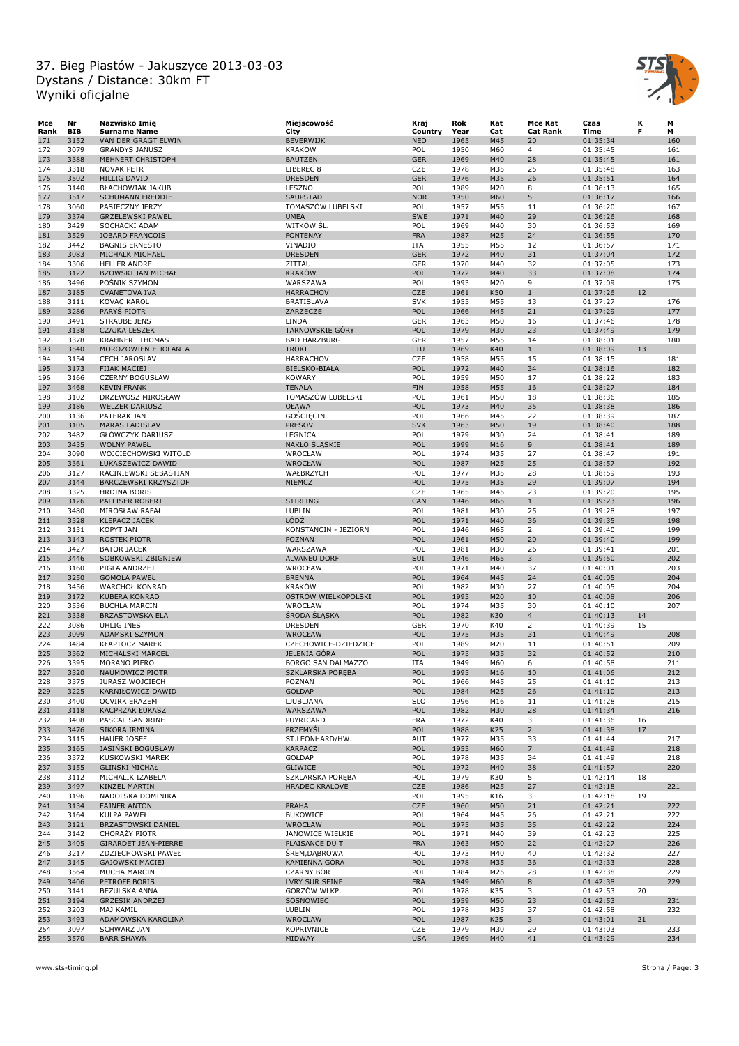

| Mce        | Nr           | Nazwisko Imię                              | Miejscowość                          | Kraj              | Rok          | Kat             | Mce Kat         | Czas                 | к  | М          |
|------------|--------------|--------------------------------------------|--------------------------------------|-------------------|--------------|-----------------|-----------------|----------------------|----|------------|
| Rank       | <b>BIB</b>   | <b>Surname Name</b>                        | City                                 | Country           | Year         | Cat             | <b>Cat Rank</b> | Time                 | F  | М          |
| 171        | 3152         | VAN DER GRAGT ELWIN                        | BEVERWIJK                            | <b>NED</b>        | 1965         | M45             | 20              | 01:35:34             |    | 160        |
| 172        | 3079         | <b>GRANDYS JANUSZ</b>                      | <b>KRAKÓW</b>                        | POL               | 1950         | M60             | $\overline{4}$  | 01:35:45             |    | 161        |
| 173        | 3388         | MEHNERT CHRISTOPH                          | <b>BAUTZEN</b>                       | <b>GER</b>        | 1969         | M40             | 28              | 01:35:45             |    | 161        |
| 174        | 3318         | <b>NOVAK PETR</b>                          | LIBEREC <sub>8</sub>                 | CZE               | 1978         | M35             | 25              | 01:35:48             |    | 163        |
| 175        | 3502         | <b>HILLIG DAVID</b>                        | <b>DRESDEN</b>                       | <b>GER</b>        | 1976         | M35             | 26              | 01:35:51             |    | 164        |
| 176        | 3140         | BŁACHOWIAK JAKUB                           | LESZNO                               | POL               | 1989         | M20             | 8               | 01:36:13<br>01:36:17 |    | 165        |
| 177<br>178 | 3517<br>3060 | <b>SCHUMANN FREDDIE</b><br>PASIECZNY JERZY | <b>SAUPSTAD</b><br>TOMASZÓW LUBELSKI | <b>NOR</b><br>POL | 1950<br>1957 | M60<br>M55      | 5<br>11         | 01:36:20             |    | 166<br>167 |
| 179        | 3374         | <b>GRZELEWSKI PAWEL</b>                    | <b>UMEA</b>                          | SWE               | 1971         | M40             | 29              | 01:36:26             |    | 168        |
| 180        | 3429         | SOCHACKI ADAM                              | WITKÓW ŚL.                           | POL               | 1969         | M40             | 30              | 01:36:53             |    | 169        |
| 181        | 3529         | JOBARD FRANCOIS                            | <b>FONTENAY</b>                      | <b>FRA</b>        | 1987         | M25             | 24              | 01:36:55             |    | 170        |
| 182        | 3442         | <b>BAGNIS ERNESTO</b>                      | VINADIO                              | ITA               | 1955         | M55             | 12              | 01:36:57             |    | 171        |
| 183        | 3083         | MICHALK MICHAEL                            | <b>DRESDEN</b>                       | <b>GER</b>        | 1972         | M40             | 31              | 01:37:04             |    | 172        |
| 184        | 3306         | <b>HELLER ANDRE</b>                        | ZITTAU                               | GER               | 1970         | M40             | 32              | 01:37:05             |    | 173        |
| 185        | 3122         | <b>BZOWSKI JAN MICHAŁ</b>                  | <b>KRAKÓW</b>                        | POL               | 1972         | M40             | 33              | 01:37:08             |    | 174        |
| 186        | 3496         | POSNIK SZYMON                              | WARSZAWA                             | POL               | 1993         | M20             | 9               | 01:37:09             |    | 175        |
| 187        | 3185         | <b>CVANETOVA IVA</b>                       | <b>HARRACHOV</b>                     | CZE               | 1961         | K50             | $\mathbf{1}$    | 01:37:26             | 12 |            |
| 188        | 3111         | <b>KOVAC KAROL</b>                         | <b>BRATISLAVA</b>                    | <b>SVK</b>        | 1955         | M55             | 13              | 01:37:27             |    | 176        |
| 189        | 3286         | PARYS PIOTR                                | ZARZECZE                             | POL               | 1966         | M45             | 21              | 01:37:29             |    | 177        |
| 190        | 3491         | <b>STRAUBE JENS</b>                        | LINDA                                | GER               | 1963         | M50             | 16              | 01:37:46             |    | 178        |
| 191        | 3138         | <b>CZAJKA LESZEK</b>                       | <b>TARNOWSKIE GÓRY</b>               | POL               | 1979         | M30             | 23              | 01:37:49             |    | 179        |
| 192        | 3378         | <b>KRAHNERT THOMAS</b>                     | <b>BAD HARZBURG</b>                  | GER               | 1957         | M55             | 14              | 01:38:01             |    | 180        |
| 193        | 3540         | MOROZOWIENIE JOLANTA                       | <b>TROKI</b>                         | <b>LTU</b>        | 1969         | K40             | $\mathbf{1}$    | 01:38:09             | 13 |            |
| 194        | 3154         | <b>CECH JAROSLAV</b>                       | <b>HARRACHOV</b>                     | CZE               | 1958         | M55             | 15              | 01:38:15             |    | 181        |
| 195        | 3173         | <b>FIJAK MACIEJ</b>                        | <b>BIELSKO-BIAŁA</b>                 | POL               | 1972         | M40             | 34              | 01:38:16             |    | 182        |
| 196        | 3166         | <b>CZERNY BOGUSŁAW</b>                     | <b>KOWARY</b>                        | POL               | 1959         | M50             | 17              | 01:38:22             |    | 183        |
| 197        | 3468         | <b>KEVIN FRANK</b>                         | <b>TENALA</b>                        | <b>FIN</b>        | 1958         | M55             | 16              | 01:38:27             |    | 184        |
| 198        | 3102         | DRZEWOSZ MIROSŁAW                          | TOMASZÓW LUBELSKI                    | POL               | 1961         | M50             | 18              | 01:38:36             |    | 185        |
| 199        | 3186         | <b>WELZER DARIUSZ</b>                      | <b>OŁAWA</b>                         | POL               | 1973         | M40             | 35              | 01:38:38             |    | 186        |
| 200        | 3136         | PATERAK JAN                                | GOŚCIECIN                            | POL               | 1966         | M45             | 22              | 01:38:39             |    | 187        |
| 201        | 3105         | <b>MARAS LADISLAV</b>                      | <b>PRESOV</b>                        | <b>SVK</b>        | 1963         | M50             | 19              | 01:38:40             |    | 188        |
| 202        | 3482         | GŁÓWCZYK DARIUSZ                           | LEGNICA                              | POL               | 1979         | M30             | 24              | 01:38:41             |    | 189        |
| 203        | 3435         | <b>WOLNY PAWEŁ</b>                         | NAKŁO ŚLĄSKIE                        | POL               | 1999         | M16             | 9               | 01:38:41             |    | 189        |
| 204        | 3090         | WOJCIECHOWSKI WITOLD                       | WROCŁAW                              | POL               | 1974         | M35             | 27              | 01:38:47             |    | 191        |
| 205        | 3361         | ŁUKASZEWICZ DAWID                          | <b>WROCŁAW</b>                       | POL               | 1987         | M25             | 25              | 01:38:57             |    | 192        |
| 206        | 3127         | RACINIEWSKI SEBASTIAN                      | WAŁBRZYCH                            | POL               | 1977         | M35             | 28              | 01:38:59             |    | 193        |
| 207        | 3144         | <b>BARCZEWSKI KRZYSZTOF</b>                | <b>NIEMCZ</b>                        | POL               | 1975         | M35             | 29              | 01:39:07             |    | 194        |
| 208        | 3325         | <b>HRDINA BORIS</b>                        |                                      | CZE               | 1965         | M45             | 23              | 01:39:20             |    | 195        |
| 209        | 3126         | PALLISER ROBERT                            | <b>STIRLING</b>                      | CAN               | 1946         | M65             | $\mathbf{1}$    | 01:39:23             |    | 196        |
| 210        | 3480         | MIROSŁAW RAFAŁ                             | LUBLIN                               | POL               | 1981         | M30             | 25              | 01:39:28             |    | 197        |
| 211        | 3328         | <b>KLEPACZ JACEK</b>                       | ŁÓDŹ                                 | POL               | 1971         | M40             | 36              | 01:39:35             |    | 198        |
| 212        | 3131         | KOPYT JAN                                  | KONSTANCIN - JEZIORN                 | POL               | 1946         | M65             | $\overline{2}$  | 01:39:40             |    | 199        |
| 213        | 3143         | <b>ROSTEK PIOTR</b>                        | <b>POZNAŃ</b>                        | POL               | 1961         | M50             | 20              | 01:39:40             |    | 199        |
| 214        | 3427         | <b>BATOR JACEK</b>                         | WARSZAWA                             | POL               | 1981         | M30             | 26              | 01:39:41             |    | 201        |
| 215<br>216 | 3446<br>3160 | SOBKOWSKI ZBIGNIEW<br>PIGLA ANDRZEJ        | <b>ALVANEU DORF</b><br>WROCŁAW       | SUI<br>POL        | 1946<br>1971 | M65<br>M40      | 3<br>37         | 01:39:50             |    | 202<br>203 |
|            | 3250         | <b>GOMOLA PAWEŁ</b>                        | <b>BRENNA</b>                        | POL               | 1964         | M45             | 24              | 01:40:01<br>01:40:05 |    | 204        |
| 217<br>218 | 3456         | WARCHOŁ KONRAD                             | <b>KRAKÓW</b>                        | POL               | 1982         | M30             | 27              | 01:40:05             |    | 204        |
| 219        | 3172         | <b>KUBERA KONRAD</b>                       | OSTRÓW WIELKOPOLSKI                  | POL               | 1993         | M20             | 10              | 01:40:08             |    | 206        |
| 220        | 3536         | <b>BUCHLA MARCIN</b>                       | WROCŁAW                              | POL               | 1974         | M35             | 30              | 01:40:10             |    | 207        |
| 221        | 3338         | <b>BRZASTOWSKA ELA</b>                     | <b>SRODA SLĄSKA</b>                  | POL               | 1982         | K30             | $\overline{4}$  | 01:40:13             | 14 |            |
| 222        | 3086         | <b>UHLIG INES</b>                          | <b>DRESDEN</b>                       | GER               | 1970         | K40             | $\overline{2}$  | 01:40:39             | 15 |            |
| 223        | 3099         | ADAMSKI SZYMON                             | <b>WROCŁAW</b>                       | POL               | 1975         | M35             | 31              | 01:40:49             |    | 208        |
| 224        | 3484         | <b>KŁAPTOCZ MAREK</b>                      | CZECHOWICE-DZIEDZICE                 | POL               | 1989         | M20             | 11              | 01:40:51             |    | 209        |
| 225        | 3362         | MICHALSKI MARCEL                           | <b>JELENIA GÓRA</b>                  | POL               | 1975         | M35             | 32              | 01:40:52             |    | 210        |
| 226        | 3395         | MORANO PIERO                               | BORGO SAN DALMAZZO                   | <b>ITA</b>        | 1949         | M60             | 6               | 01:40:58             |    | 211        |
| 227        | 3320         | NAUMOWICZ PIOTR                            | <b>SZKLARSKA POREBA</b>              | POL               | 1995         | M <sub>16</sub> | 10              | 01:41:06             |    | 212        |
| 228        | 3375         | JURASZ WOJCIECH                            | POZNAŃ                               | POL               | 1966         | M45             | 25              | 01:41:10             |    | 213        |
| 229        | 3225         | KARNIŁOWICZ DAWID                          | GOŁDAP                               | POL               | 1984         | M25             | 26              | 01:41:10             |    | 213        |
| 230        | 3400         | <b>OCVIRK ERAZEM</b>                       | LJUBLJANA                            | <b>SLO</b>        | 1996         | M16             | 11              | 01:41:28             |    | 215        |
| 231        | 3118         | KACPRZAK ŁUKASZ                            | WARSZAWA                             | POL               | 1982         | M30             | 28              | 01:41:34             |    | 216        |
| 232        | 3408         | PASCAL SANDRINE                            | PUYRICARD                            | <b>FRA</b>        | 1972         | K40             | 3               | 01:41:36             | 16 |            |
| 233        | 3476         | SIKORA IRMINA                              | PRZEMYŚL                             | POL               | 1988         | K25             | $2^{\circ}$     | 01:41:38             | 17 |            |
| 234        | 3115         | <b>HAUER JOSEF</b>                         | ST.LEONHARD/HW.                      | AUT               | 1977         | M35             | 33              | 01:41:44             |    | 217        |
| 235        | 3165         | <b>JASINSKI BOGUSŁAW</b>                   | <b>KARPACZ</b>                       | POL               | 1953         | M60             | $\overline{7}$  | 01:41:49             |    | 218        |
| 236        | 3372         | KUSKOWSKI MAREK                            | GOŁDAP                               | POL               | 1978         | M35             | 34              | 01:41:49             |    | 218        |
| 237        | 3155         | <b>GLIŃSKI MICHAŁ</b>                      | <b>GLIWICE</b>                       | POL               | 1972         | M40             | 38              | 01:41:57             |    | 220        |
| 238        | 3112         | MICHALIK IZABELA                           | SZKLARSKA PORĘBA                     | POL               | 1979         | K30             | 5               | 01:42:14             | 18 |            |
| 239        | 3497         | KINZEL MARTIN                              | HRADEC KRALOVE                       | CZE               | 1986         | M25             | 27              | 01:42:18             |    | 221        |
| 240        | 3196         | NADOLSKA DOMINIKA                          |                                      | POL               | 1995         | K16             | 3               | 01:42:18             | 19 |            |
| 241        | 3134         | <b>FAJNER ANTON</b>                        | <b>PRAHA</b>                         | CZE               | 1960         | M50             | 21              | 01:42:21             |    | 222        |
| 242        | 3164         | KULPA PAWEŁ                                | <b>BUKOWICE</b>                      | POL               | 1964         | M45             | 26              | 01:42:21             |    | 222        |
| 243        | 3121         | BRZASTOWSKI DANIEL                         | <b>WROCŁAW</b>                       | POL               | 1975         | M35             | 35              | 01:42:22             |    | 224        |
| 244        | 3142         | <b>CHORAZY PIOTR</b>                       | JANOWICE WIELKIE                     | POL               | 1971         | M40             | 39              | 01:42:23             |    | 225        |
| 245        | 3405         | GIRARDET JEAN-PIERRE                       | PLAISANCE DU T                       | <b>FRA</b>        | 1963         | M50             | 22              | 01:42:27             |    | 226        |
| 246        | 3217         | ZDZIECHOWSKI PAWEŁ                         | SREM, DABROWA                        | POL               | 1973         | M40             | 40              | 01:42:32             |    | 227        |
| 247        | 3145         | <b>GAJOWSKI MACIEJ</b>                     | KAMIENNA GÓRA                        | POL               | 1978         | M35             | 36              | 01:42:33             |    | 228        |
| 248        | 3564         | MUCHA MARCIN                               | <b>CZARNY BÓR</b>                    | POL               | 1984         | M25             | 28              | 01:42:38             |    | 229        |
| 249        | 3406         | PETROFF BORIS                              | LVRY SUR SEINE                       | <b>FRA</b>        | 1949         | M60             | 8               | 01:42:38             |    | 229        |
| 250        | 3141         | BEZULSKA ANNA                              | GORZÓW WLKP.                         | POL               | 1978         | K35             | 3               | 01:42:53             | 20 |            |
| 251        | 3194         | <b>GRZESIK ANDRZEJ</b>                     | SOSNOWIEC                            | POL               | 1959         | M50             | 23              | 01:42:53             |    | 231        |
| 252        | 3203         | MAJ KAMIL                                  | LUBLIN                               | POL               | 1978         | M35             | 37              | 01:42:58             |    | 232        |
| 253        | 3493         | ADAMOWSKA KAROLINA                         | <b>WROCLAW</b>                       | POL               | 1987         | K25             | 3               | 01:43:01             | 21 |            |
| 254        | 3097         | SCHWARZ JAN                                | KOPRIVNICE                           | CZE               | 1979         | M30             | 29              | 01:43:03             |    | 233        |
| 255        | 3570         | <b>BARR SHAWN</b>                          | MIDWAY                               | <b>USA</b>        | 1969         | M40             | 41              | 01:43:29             |    | 234        |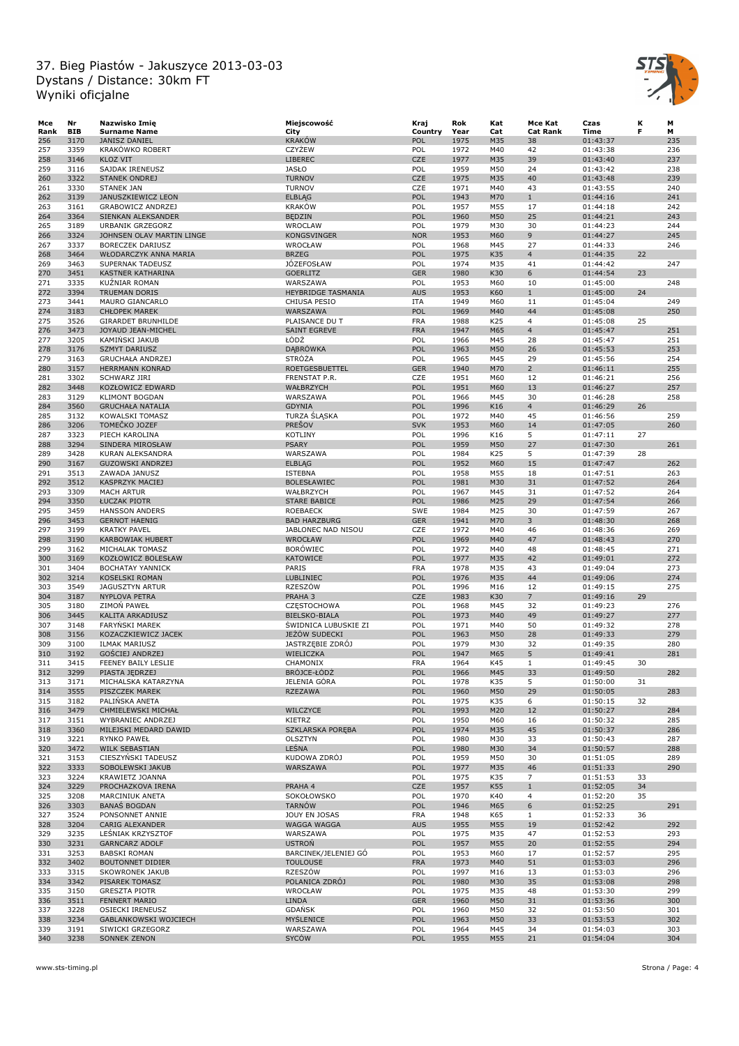

| Mce  | Nr         | Nazwisko Imię             | Miejscowość               | Kraj       | Rok  | Kat | Mce Kat         | Czas     | к  | М   |
|------|------------|---------------------------|---------------------------|------------|------|-----|-----------------|----------|----|-----|
| Rank | <b>BIB</b> | <b>Surname Name</b>       | City                      | Country    | Year | Cat | <b>Cat Rank</b> | Time     | F  | м   |
| 256  | 3170       | <b>JANISZ DANIEL</b>      | <b>KRAKÓW</b>             | POL        | 1975 | M35 | 38              | 01:43:37 |    | 235 |
| 257  | 3359       | KRAKÓWKO ROBERT           | <b>CZYŻEW</b>             | POL        | 1972 | M40 | 42              | 01:43:38 |    | 236 |
| 258  | 3146       | <b>KLOZ VIT</b>           | LIBEREC                   | <b>CZE</b> | 1977 | M35 | 39              | 01:43:40 |    | 237 |
| 259  | 3116       | SAJDAK IRENEUSZ           | <b>JASŁO</b>              | POL        | 1959 | M50 | 24              | 01:43:42 |    | 238 |
|      | 3322       |                           | <b>TURNOV</b>             | <b>CZE</b> | 1975 | M35 | 40              |          |    | 239 |
| 260  |            | STANEK ONDREJ             |                           |            |      |     |                 | 01:43:48 |    |     |
| 261  | 3330       | <b>STANEK JAN</b>         | <b>TURNOV</b>             | CZE        | 1971 | M40 | 43              | 01:43:55 |    | 240 |
| 262  | 3139       | JANUSZKIEWICZ LEON        | <b>ELBLAG</b>             | POL        | 1943 | M70 | $\mathbf{1}$    | 01:44:16 |    | 241 |
| 263  | 3161       | <b>GRABOWICZ ANDRZEJ</b>  | <b>KRAKÓW</b>             | POL        | 1957 | M55 | 17              | 01:44:18 |    | 242 |
| 264  | 3364       | SIENKAN ALEKSANDER        | <b>BEDZIN</b>             | POL        | 1960 | M50 | 25              | 01:44:21 |    | 243 |
| 265  | 3189       | URBANIK GRZEGORZ          | WROCLAW                   | POL        | 1979 | M30 | 30              | 01:44:23 |    | 244 |
| 266  | 3324       | JOHNSEN OLAV MARTIN LINGE | <b>KONGSVINGER</b>        | <b>NOR</b> | 1953 | M60 | 9               | 01:44:27 |    | 245 |
| 267  | 3337       | <b>BORECZEK DARIUSZ</b>   | WROCŁAW                   | POL        | 1968 | M45 | 27              | 01:44:33 |    | 246 |
| 268  | 3464       | WŁODARCZYK ANNA MARIA     | <b>BRZEG</b>              | POL        | 1975 | K35 | $\overline{4}$  | 01:44:35 | 22 |     |
| 269  | 3463       | SUPERNAK TADEUSZ          | <b>JÓZEFOSŁAW</b>         | POL        | 1974 | M35 | 41              | 01:44:42 |    | 247 |
| 270  | 3451       | KASTNER KATHARINA         | <b>GOERLITZ</b>           | <b>GER</b> | 1980 | K30 | 6               | 01:44:54 | 23 |     |
| 271  | 3335       | <b>KUZNIAR ROMAN</b>      | WARSZAWA                  | POL        | 1953 | M60 | 10              | 01:45:00 |    | 248 |
| 272  | 3394       | <b>TRUEMAN DORIS</b>      | <b>HEYBRIDGE TASMANIA</b> | <b>AUS</b> | 1953 | K60 | $\mathbf{1}$    | 01:45:00 | 24 |     |
| 273  | 3441       | <b>MAURO GIANCARLO</b>    | CHIUSA PESIO              | <b>ITA</b> | 1949 | M60 | 11              | 01:45:04 |    | 249 |
| 274  | 3183       |                           |                           | POL        | 1969 | M40 | 44              |          |    | 250 |
|      |            | <b>CHŁOPEK MAREK</b>      | WARSZAWA                  |            |      |     |                 | 01:45:08 |    |     |
| 275  | 3526       | <b>GIRARDET BRUNHILDE</b> | PLAISANCE DU T            | <b>FRA</b> | 1988 | K25 | $\overline{4}$  | 01:45:08 | 25 |     |
| 276  | 3473       | JOYAUD JEAN-MICHEL        | <b>SAINT EGREVE</b>       | <b>FRA</b> | 1947 | M65 | $\overline{4}$  | 01:45:47 |    | 251 |
| 277  | 3205       | KAMINSKI JAKUB            | ŁÓDŹ                      | POL        | 1966 | M45 | 28              | 01:45:47 |    | 251 |
| 278  | 3176       | <b>SZMYT DARIUSZ</b>      | <b>DABRÓWKA</b>           | POL        | 1963 | M50 | 26              | 01:45:53 |    | 253 |
| 279  | 3163       | <b>GRUCHAŁA ANDRZEJ</b>   | STRÓŻA                    | POL        | 1965 | M45 | 29              | 01:45:56 |    | 254 |
| 280  | 3157       | HERRMANN KONRAD           | <b>ROETGESBUETTEL</b>     | <b>GER</b> | 1940 | M70 | $\overline{2}$  | 01:46:11 |    | 255 |
| 281  | 3302       | SCHWARZ JIRI              | FRENSTAT P.R.             | <b>CZE</b> | 1951 | M60 | 12              | 01:46:21 |    | 256 |
| 282  | 3448       | KOZŁOWICZ EDWARD          | WAŁBRZYCH                 | POL        | 1951 | M60 | 13              | 01:46:27 |    | 257 |
| 283  | 3129       | <b>KLIMONT BOGDAN</b>     | WARSZAWA                  | POL        | 1966 | M45 | 30              | 01:46:28 |    | 258 |
| 284  | 3560       | <b>GRUCHAŁA NATALIA</b>   | <b>GDYNIA</b>             | POL        | 1996 | K16 | $\overline{4}$  | 01:46:29 | 26 |     |
| 285  | 3132       | KOWALSKI TOMASZ           | TURZA SLĄSKA              | POL        | 1972 | M40 | 45              | 01:46:56 |    | 259 |
| 286  | 3206       | TOMEČKO JOZEF             | <b>PREŠOV</b>             | <b>SVK</b> | 1953 | M60 | 14              | 01:47:05 |    | 260 |
|      |            |                           |                           |            |      |     |                 |          |    |     |
| 287  | 3323       | PIECH KAROLINA            | <b>KOTLINY</b>            | POL        | 1996 | K16 | 5               | 01:47:11 | 27 |     |
| 288  | 3294       | SINDERA MIROSŁAW          | <b>PSARY</b>              | POL        | 1959 | M50 | 27              | 01:47:30 |    | 261 |
| 289  | 3428       | KURAN ALEKSANDRA          | WARSZAWA                  | POL        | 1984 | K25 | 5               | 01:47:39 | 28 |     |
| 290  | 3167       | <b>GUZOWSKI ANDRZEJ</b>   | <b>ELBLAG</b>             | POL        | 1952 | M60 | 15              | 01:47:47 |    | 262 |
| 291  | 3513       | ZAWADA JANUSZ             | <b>ISTEBNA</b>            | POL        | 1958 | M55 | 18              | 01:47:51 |    | 263 |
| 292  | 3512       | <b>KASPRZYK MACIEJ</b>    | <b>BOLESŁAWIEC</b>        | POL        | 1981 | M30 | 31              | 01:47:52 |    | 264 |
| 293  | 3309       | <b>MACH ARTUR</b>         | WAŁBRZYCH                 | POL        | 1967 | M45 | 31              | 01:47:52 |    | 264 |
| 294  | 3350       | ŁUCZAK PIOTR              | <b>STARE BABICE</b>       | POL        | 1986 | M25 | 29              | 01:47:54 |    | 266 |
| 295  | 3459       | <b>HANSSON ANDERS</b>     | <b>ROEBAECK</b>           | <b>SWE</b> | 1984 | M25 | 30              | 01:47:59 |    | 267 |
| 296  | 3453       | <b>GERNOT HAENIG</b>      | <b>BAD HARZBURG</b>       | <b>GER</b> | 1941 | M70 | 3               | 01:48:30 |    | 268 |
| 297  | 3199       | <b>KRATKY PAVEL</b>       | JABLONEC NAD NISOU        | CZE        | 1972 | M40 | 46              | 01:48:36 |    | 269 |
| 298  | 3190       | <b>KARBOWIAK HUBERT</b>   | WROCŁAW                   | POL        | 1969 | M40 | 47              | 01:48:43 |    | 270 |
| 299  | 3162       | MICHALAK TOMASZ           | <b>BORÓWIEC</b>           | POL        | 1972 | M40 | 48              | 01:48:45 |    | 271 |
| 300  | 3169       | KOZŁOWICZ BOLESŁAW        | KATOWICE                  | POL        | 1977 | M35 | 42              | 01:49:01 |    | 272 |
|      |            |                           |                           |            |      |     |                 |          |    | 273 |
| 301  | 3404       | <b>BOCHATAY YANNICK</b>   | PARIS                     | <b>FRA</b> | 1978 | M35 | 43              | 01:49:04 |    |     |
| 302  | 3214       | <b>KOSELSKI ROMAN</b>     | LUBLINIEC                 | POL        | 1976 | M35 | 44              | 01:49:06 |    | 274 |
| 303  | 3549       | <b>JAGUSZTYN ARTUR</b>    | RZESZÓW                   | POL        | 1996 | M16 | 12              | 01:49:15 |    | 275 |
| 304  | 3187       | <b>NYPLOVA PETRA</b>      | PRAHA 3                   | <b>CZE</b> | 1983 | K30 | $\overline{7}$  | 01:49:16 | 29 |     |
| 305  | 3180       | ZIMON PAWEŁ               | CZESTOCHOWA               | POL        | 1968 | M45 | 32              | 01:49:23 |    | 276 |
| 306  | 3445       | KALITA ARKADIUSZ          | BIELSKO-BIALA             | POL        | 1973 | M40 | 49              | 01:49:27 |    | 277 |
| 307  | 3148       | <b>FARYNSKI MAREK</b>     | ŚWIDNICA LUBUSKIE ZI      | POL        | 1971 | M40 | 50              | 01:49:32 |    | 278 |
| 308  | 3156       | KOZACZKIEWICZ JACEK       | JEŻÓW SUDECKI             | POL        | 1963 | M50 | 28              | 01:49:33 |    | 279 |
| 309  | 3100       | ILMAK MARIUSZ             | JASTRZĘBIE ZDRÓJ          | POL        | 1979 | M30 | 32              | 01:49:35 |    | 280 |
| 310  | 3192       | <b>GOŚCIEJ ANDRZEJ</b>    | WIELICZKA                 | POL        | 1947 | M65 | 5               | 01:49:41 |    | 281 |
| 311  | 3415       | FEENEY BAILY LESLIE       | CHAMONIX                  | <b>FRA</b> | 1964 | K45 | $\mathbf{1}$    | 01:49:45 | 30 |     |
| 312  | 3299       | PIASTA JEDRZEJ            | BROJCE-ŁODŻ               | POL        | 1966 | M45 | 33              | 01:49:50 |    | 282 |
| 313  | 3171       | MICHALSKA KATARZYNA       | JELENIA GÓRA              | POL        | 1978 | K35 | 5               | 01:50:00 | 31 |     |
| 314  | 3555       | PISZCZEK MAREK            | <b>RZEZAWA</b>            | POL        | 1960 | M50 | 29              | 01:50:05 |    | 283 |
| 315  | 3182       | PALINSKA ANETA            |                           | POL        | 1975 | K35 | 6               | 01:50:15 | 32 |     |
|      |            |                           |                           |            |      |     |                 |          |    |     |
| 316  | 3479       | CHMIELEWSKI MICHAŁ        | WILCZYCE                  | POL        | 1993 | M20 | 12              | 01:50:27 |    | 284 |
| 317  | 3151       | WYBRANIEC ANDRZEJ         | KIETRZ                    | POL        | 1950 | M60 | 16              | 01:50:32 |    | 285 |
| 318  | 3360       | MILEJSKI MEDARD DAWID     | SZKLARSKA PORĘBA          | POL        | 1974 | M35 | 45              | 01:50:37 |    | 286 |
| 319  | 3221       | <b>RYNKO PAWEŁ</b>        | OLSZTYN                   | POL        | 1980 | M30 | 33              | 01:50:43 |    | 287 |
| 320  | 3472       | <b>WILK SEBASTIAN</b>     | LEŚNA                     | POL        | 1980 | M30 | 34              | 01:50:57 |    | 288 |
| 321  | 3153       | CIESZYŃSKI TADEUSZ        | KUDOWA ZDRÓJ              | POL        | 1959 | M50 | 30              | 01:51:05 |    | 289 |
| 322  | 3333       | SOBOLEWSKI JAKUB          | WARSZAWA                  | POL        | 1977 | M35 | 46              | 01:51:33 |    | 290 |
| 323  | 3224       | KRAWIETZ JOANNA           |                           | POL        | 1975 | K35 | $\overline{7}$  | 01:51:53 | 33 |     |
| 324  | 3229       | PROCHAZKOVA IRENA         | PRAHA 4                   | <b>CZE</b> | 1957 | K55 | $\mathbf{1}$    | 01:52:05 | 34 |     |
| 325  | 3208       | MARCINIUK ANETA           | SOKOŁOWSKO                | POL        | 1970 | K40 | $\overline{4}$  | 01:52:20 | 35 |     |
| 326  | 3303       | <b>BANAS BOGDAN</b>       | <b>TARNÓW</b>             | POL        | 1946 | M65 | 6               | 01:52:25 |    | 291 |
| 327  | 3524       | PONSONNET ANNIE           | JOUY EN JOSAS             | <b>FRA</b> | 1948 | K65 | $\mathbf{1}$    | 01:52:33 | 36 |     |
| 328  | 3204       | CARIG ALEXANDER           | WAGGA WAGGA               | <b>AUS</b> | 1955 | M55 | 19              | 01:52:42 |    | 292 |
|      |            |                           |                           | POL        |      |     |                 |          |    |     |
| 329  | 3235       | LESNIAK KRZYSZTOF         | WARSZAWA                  |            | 1975 | M35 | 47              | 01:52:53 |    | 293 |
| 330  | 3231       | <b>GARNCARZ ADOLF</b>     | <b>USTRON</b>             | POL        | 1957 | M55 | 20              | 01:52:55 |    | 294 |
| 331  | 3253       | <b>BABSKI ROMAN</b>       | BARCINEK/JELENIEJ GÓ      | POL        | 1953 | M60 | 17              | 01:52:57 |    | 295 |
| 332  | 3402       | <b>BOUTONNET DIDIER</b>   | <b>TOULOUSE</b>           | <b>FRA</b> | 1973 | M40 | 51              | 01:53:03 |    | 296 |
| 333  | 3315       | <b>SKOWRONEK JAKUB</b>    | RZESZÓW                   | POL        | 1997 | M16 | 13              | 01:53:03 |    | 296 |
| 334  | 3342       | PISAREK TOMASZ            | POLANICA ZDRÓJ            | POL        | 1980 | M30 | 35              | 01:53:08 |    | 298 |
| 335  | 3150       | <b>GRESZTA PIOTR</b>      | WROCŁAW                   | POL        | 1975 | M35 | 48              | 01:53:30 |    | 299 |
| 336  | 3511       | FENNERT MARIO             | LINDA                     | <b>GER</b> | 1960 | M50 | 31              | 01:53:36 |    | 300 |
| 337  | 3228       | OSIECKI IRENEUSZ          | <b>GDANSK</b>             | POL        | 1960 | M50 | 32              | 01:53:50 |    | 301 |
| 338  | 3234       | GABLANKOWSKI WOJCIECH     | MYŚLENICE                 | POL        | 1963 | M50 | 33              | 01:53:53 |    | 302 |
| 339  | 3191       | SIWICKI GRZEGORZ          | WARSZAWA                  | POL        | 1964 | M45 | 34              | 01:54:03 |    | 303 |
| 340  | 3238       | SONNEK ZENON              | <b>SYCÓW</b>              | POL        | 1955 | M55 | 21              | 01:54:04 |    | 304 |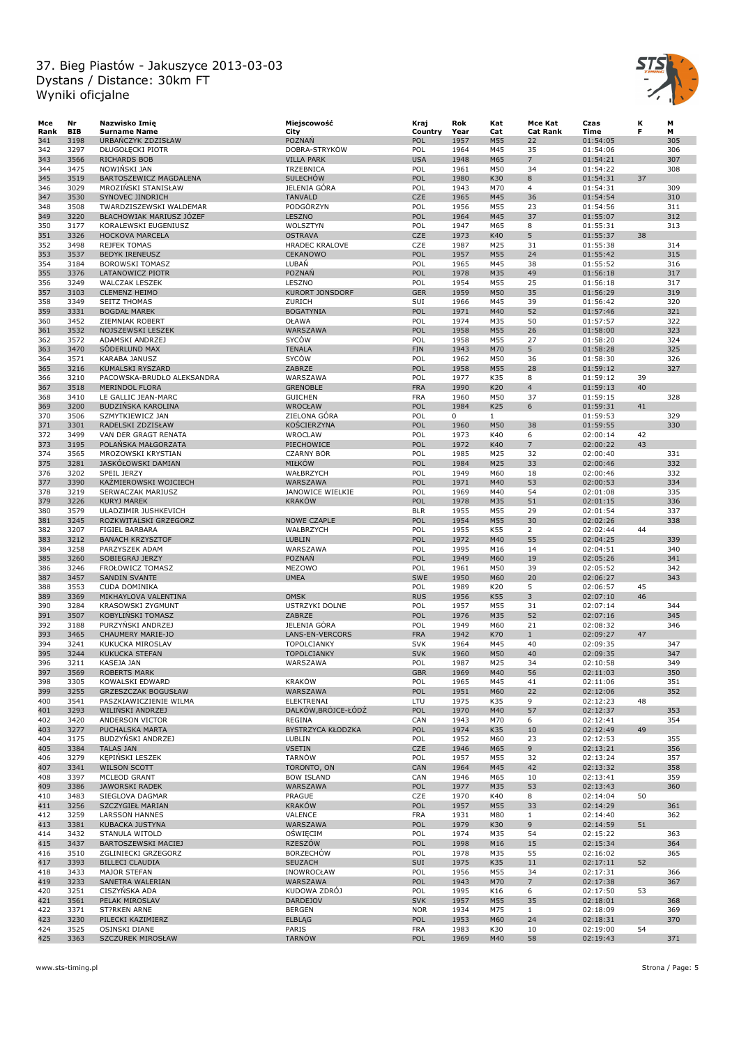

| Mce  | Nr         | Nazwisko Imie              | Miejscowość            | Kraj       | Rok  | Kat          | Mce Kat         | Czas     | к  | М   |
|------|------------|----------------------------|------------------------|------------|------|--------------|-----------------|----------|----|-----|
| Rank | <b>BIB</b> | <b>Surname Name</b>        | City                   | Country    | Year | Cat          | <b>Cat Rank</b> | Time     | F  | м   |
| 341  | 3198       | URBAŃCZYK ZDZISŁAW         | POZNAŃ                 | POL        | 1957 | M55          | 22              | 01:54:05 |    | 305 |
| 342  | 3297       | DŁUGOŁĘCKI PIOTR           | DOBRA-STRYKÓW          | POL        | 1964 | M45          | 35              | 01:54:06 |    | 306 |
| 343  | 3566       | RICHARDS BOB               | <b>VILLA PARK</b>      | <b>USA</b> | 1948 | M65          | $\overline{7}$  | 01:54:21 |    | 307 |
| 344  | 3475       | NOWINSKI JAN               | TRZEBNICA              | POL        | 1961 | M50          | 34              | 01:54:22 |    | 308 |
| 345  | 3519       | BARTOSZEWICZ MAGDALENA     | <b>SULECHÓW</b>        | POL        | 1980 | K30          | 8               | 01:54:31 | 37 |     |
| 346  | 3029       | MROZIŃSKI STANISŁAW        | JELENIA GÓRA           | POL        | 1943 | M70          | $\overline{4}$  | 01:54:31 |    | 309 |
|      |            |                            |                        |            |      |              |                 |          |    |     |
| 347  | 3530       | SYNOVEC JINDRICH           | <b>TANVALD</b>         | <b>CZE</b> | 1965 | M45          | 36              | 01:54:54 |    | 310 |
| 348  | 3508       | TWARDZISZEWSKI WALDEMAR    | PODGÓRZYN              | POL        | 1956 | M55          | 23              | 01:54:56 |    | 311 |
| 349  | 3220       | BŁACHOWIAK MARIUSZ JÓZEF   | LESZNO                 | POL        | 1964 | M45          | 37              | 01:55:07 |    | 312 |
| 350  | 3177       | KORALEWSKI EUGENIUSZ       | WOLSZTYN               | POL        | 1947 | M65          | 8               | 01:55:31 |    | 313 |
| 351  | 3326       | HOCKOVA MARCELA            | <b>OSTRAVA</b>         | <b>CZE</b> | 1973 | K40          | 5               | 01:55:37 | 38 |     |
| 352  | 3498       | <b>REJFEK TOMAS</b>        | <b>HRADEC KRALOVE</b>  | CZE        | 1987 | M25          | 31              | 01:55:38 |    | 314 |
| 353  | 3537       | <b>BEDYK IRENEUSZ</b>      | <b>CEKANOWO</b>        | POL        | 1957 | M55          | 24              | 01:55:42 |    | 315 |
| 354  | 3184       | <b>BOROWSKI TOMASZ</b>     | LUBAŃ                  | POL        | 1965 | M45          | 38              | 01:55:52 |    | 316 |
| 355  | 3376       | LATANOWICZ PIOTR           | POZNAŃ                 | POL        | 1978 | M35          | 49              | 01:56:18 |    | 317 |
| 356  | 3249       | <b>WALCZAK LESZEK</b>      | LESZNO                 | POL        | 1954 | M55          | 25              | 01:56:18 |    | 317 |
|      |            |                            | <b>KURORT JONSDORF</b> |            |      |              |                 |          |    |     |
| 357  | 3103       | <b>CLEMENZ HEIMO</b>       |                        | <b>GER</b> | 1959 | M50          | 35              | 01:56:29 |    | 319 |
| 358  | 3349       | <b>SEITZ THOMAS</b>        | ZURICH                 | SUI        | 1966 | M45          | 39              | 01:56:42 |    | 320 |
| 359  | 3331       | <b>BOGDAŁ MAREK</b>        | <b>BOGATYNIA</b>       | POL        | 1971 | M40          | 52              | 01:57:46 |    | 321 |
| 360  | 3452       | ZIEMNIAK ROBERT            | OŁAWA                  | POL        | 1974 | M35          | 50              | 01:57:57 |    | 322 |
| 361  | 3532       | NOJSZEWSKI LESZEK          | WARSZAWA               | POL        | 1958 | M55          | 26              | 01:58:00 |    | 323 |
| 362  | 3572       | ADAMSKI ANDRZEJ            | SYCÓW                  | POL        | 1958 | M55          | 27              | 01:58:20 |    | 324 |
| 363  | 3470       | SÖDERLUND MAX              | <b>TENALA</b>          | <b>FIN</b> | 1943 | M70          | 5               | 01:58:28 |    | 325 |
| 364  | 3571       | KARABA JANUSZ              | SYCÓW                  | POL        | 1962 | M50          | 36              | 01:58:30 |    | 326 |
| 365  | 3216       | KUMALSKI RYSZARD           | ZABRZE                 | POL        | 1958 | M55          | 28              | 01:59:12 |    | 327 |
|      | 3210       | PACOWSKA-BRUDŁO ALEKSANDRA |                        | POL        | 1977 |              | 8               |          | 39 |     |
| 366  |            |                            | WARSZAWA               |            |      | K35          |                 | 01:59:12 |    |     |
| 367  | 3518       | <b>MERINDOL FLORA</b>      | <b>GRENOBLE</b>        | <b>FRA</b> | 1990 | K20          | $\overline{4}$  | 01:59:13 | 40 |     |
| 368  | 3410       | LE GALLIC JEAN-MARC        | <b>GUICHEN</b>         | <b>FRA</b> | 1960 | M50          | 37              | 01:59:15 |    | 328 |
| 369  | 3200       | <b>BUDZINSKA KAROLINA</b>  | <b>WROCŁAW</b>         | POL        | 1984 | K25          | 6               | 01:59:31 | 41 |     |
| 370  | 3506       | SZMYTKIEWICZ JAN           | ZIELONA GÓRA           | POL        | 0    | $\mathbf{1}$ |                 | 01:59:53 |    | 329 |
| 371  | 3301       | RADELSKI ZDZISŁAW          | KOŚCIERZYNA            | POL        | 1960 | M50          | 38              | 01:59:55 |    | 330 |
| 372  | 3499       | VAN DER GRAGT RENATA       | WROCLAW                | POL        | 1973 | K40          | 6               | 02:00:14 | 42 |     |
| 373  | 3195       | POLAŃSKA MAŁGORZATA        | PIECHOWICE             | POL        | 1972 | K40          | $\overline{7}$  | 02:00:22 | 43 |     |
| 374  | 3565       | MROZOWSKI KRYSTIAN         | <b>CZARNY BÓR</b>      | POL        | 1985 | M25          | 32              | 02:00:40 |    | 331 |
|      |            |                            |                        |            |      |              |                 |          |    |     |
| 375  | 3281       | JASKÓŁOWSKI DAMIAN         | MIŁKÓW                 | POL        | 1984 | M25          | 33              | 02:00:46 |    | 332 |
| 376  | 3202       | SPEIL JERZY                | WAŁBRZYCH              | POL        | 1949 | M60          | 18              | 02:00:46 |    | 332 |
| 377  | 3390       | KAŻMIEROWSKI WOJCIECH      | WARSZAWA               | POL        | 1971 | M40          | 53              | 02:00:53 |    | 334 |
| 378  | 3219       | SERWACZAK MARIUSZ          | JANOWICE WIELKIE       | POL        | 1969 | M40          | 54              | 02:01:08 |    | 335 |
| 379  | 3226       | <b>KURYJ MAREK</b>         | <b>KRAKÓW</b>          | POL        | 1978 | M35          | 51              | 02:01:15 |    | 336 |
| 380  | 3579       | ULADZIMIR JUSHKEVICH       |                        | <b>BLR</b> | 1955 | M55          | 29              | 02:01:54 |    | 337 |
| 381  | 3245       | ROZKWITALSKI GRZEGORZ      | <b>NOWE CZAPLE</b>     | POL        | 1954 | M55          | 30              | 02:02:26 |    | 338 |
| 382  | 3207       | FIGIEL BARBARA             | WAŁBRZYCH              | POL        | 1955 | K55          | 2               | 02:02:44 | 44 |     |
| 383  | 3212       | <b>BANACH KRZYSZTOF</b>    | <b>LUBLIN</b>          | POL        | 1972 | M40          | 55              | 02:04:25 |    | 339 |
|      |            |                            |                        |            |      |              |                 |          |    |     |
| 384  | 3258       | PARZYSZEK ADAM             | WARSZAWA               | POL        | 1995 | M16          | 14              | 02:04:51 |    | 340 |
| 385  | 3260       | SOBIEGRAJ JERZY            | POZNAŃ                 | POL        | 1949 | M60          | 19              | 02:05:26 |    | 341 |
| 386  | 3246       | FROŁOWICZ TOMASZ           | MEZOWO                 | POL        | 1961 | M50          | 39              | 02:05:52 |    | 342 |
| 387  | 3457       | <b>SANDIN SVANTE</b>       | <b>UMEA</b>            | <b>SWE</b> | 1950 | M60          | 20              | 02:06:27 |    | 343 |
| 388  | 3553       | <b>CUDA DOMINIKA</b>       |                        | POL        | 1989 | K20          | 5               | 02:06:57 | 45 |     |
| 389  | 3369       | MIKHAYLOVA VALENTINA       | <b>OMSK</b>            | <b>RUS</b> | 1956 | K55          | 3               | 02:07:10 | 46 |     |
| 390  | 3284       | KRASOWSKI ZYGMUNT          | <b>USTRZYKI DOLNE</b>  | POL        | 1957 | M55          | 31              | 02:07:14 |    | 344 |
| 391  | 3507       | KOBYLINSKI TOMASZ          | ZABRZE                 | POL        | 1976 | M35          | 52              | 02:07:16 |    | 345 |
| 392  | 3188       | PURZYŃSKI ANDRZEJ          | JELENIA GÓRA           | POL        | 1949 | M60          | 21              | 02:08:32 |    | 346 |
| 393  | 3465       | CHAUMERY MARIE-JO          | LANS-EN-VERCORS        | <b>FRA</b> | 1942 | K70          | $\mathbf{1}$    | 02:09:27 | 47 |     |
|      |            |                            |                        |            |      |              |                 |          |    |     |
| 394  | 3241       | KUKUCKA MIROSLAV           | TOPOLCIANKY            | <b>SVK</b> | 1964 | M45          | 40              | 02:09:35 |    | 347 |
| 395  | 3244       | <b>KUKUCKA STEFAN</b>      | <b>TOPOLCIANKY</b>     | <b>SVK</b> | 1960 | M50          | 40              | 02:09:35 |    | 347 |
| 396  | 3211       | KASEJA JAN                 | WARSZAWA               | POL        | 1987 | M25          | 34              | 02:10:58 |    | 349 |
| 397  | 3569       | <b>ROBERTS MARK</b>        |                        | <b>GBR</b> | 1969 | M40          | 56              | 02:11:03 |    | 350 |
| 398  | 3305       | KOWALSKI EDWARD            | <b>KRAKÓW</b>          | POL        | 1965 | M45          | 41              | 02:11:06 |    | 351 |
| 399  | 3255       | <b>GRZESZCZAK BOGUSŁAW</b> | WARSZAWA               | POL        | 1951 | M60          | 22              | 02:12:06 |    | 352 |
| 400  | 3541       | PASZKIAWICZIENIE WILMA     | ELEKTRENAI             | LTU        | 1975 | K35          | 9               | 02:12:23 | 48 |     |
| 401  | 3293       | WILIŃSKI ANDRZEJ           | DALKÓW.BRÓJCE-ŁÓDŹ     | POL        | 1970 | M40          | 57              | 02:12:37 |    | 353 |
| 402  | 3420       | ANDERSON VICTOR            | REGINA                 | CAN        | 1943 | M70          | 6               | 02:12:41 |    | 354 |
| 403  | 3277       | PUCHALSKA MARTA            | BYSTRZYCA KŁODZKA      | POL        | 1974 | K35          | 10              | 02:12:49 | 49 |     |
|      |            |                            |                        |            |      |              |                 |          |    |     |
| 404  | 3175       | BUDZYŃSKI ANDRZEJ          | LUBLIN                 | POL        | 1952 | M60          | 23              | 02:12:53 |    | 355 |
| 405  | 3384       | <b>TALAS JAN</b>           | <b>VSETIN</b>          | <b>CZE</b> | 1946 | M65          | 9               | 02:13:21 |    | 356 |
| 406  | 3279       | <b>KEPINSKI LESZEK</b>     | <b>TARNÓW</b>          | POL        | 1957 | M55          | 32              | 02:13:24 |    | 357 |
| 407  | 3341       | <b>WILSON SCOTT</b>        | TORONTO, ON            | CAN        | 1964 | M45          | 42              | 02:13:32 |    | 358 |
| 408  | 3397       | MCLEOD GRANT               | <b>BOW ISLAND</b>      | CAN        | 1946 | M65          | 10              | 02:13:41 |    | 359 |
| 409  | 3386       | JAWORSKI RADEK             | WARSZAWA               | POL        | 1977 | M35          | 53              | 02:13:43 |    | 360 |
| 410  | 3483       | SIEGLOVA DAGMAR            | PRAGUE                 | CZE        | 1970 | K40          | 8               | 02:14:04 | 50 |     |
| 411  | 3256       | SZCZYGIEŁ MARIAN           | <b>KRAKÓW</b>          | POL        | 1957 | M55          | 33              | 02:14:29 |    | 361 |
| 412  | 3259       | <b>LARSSON HANNES</b>      | VALENCE                | FRA        | 1931 | M80          | $\mathbf{1}$    | 02:14:40 |    | 362 |
|      | 3381       |                            |                        | POL        |      |              |                 |          |    |     |
| 413  |            | KUBACKA JUSTYNA            | WARSZAWA               |            | 1979 | K30          | 9               | 02:14:59 | 51 |     |
| 414  | 3432       | STANULA WITOLD             | OŚWIĘCIM               | POL        | 1974 | M35          | 54              | 02:15:22 |    | 363 |
| 415  | 3437       | BARTOSZEWSKI MACIEJ        | RZESZÓW                | POL        | 1998 | M16          | 15              | 02:15:34 |    | 364 |
| 416  | 3510       | ZGLINIECKI GRZEGORZ        | <b>BORZECHÓW</b>       | POL        | 1978 | M35          | 55              | 02:16:02 |    | 365 |
| 417  | 3393       | <b>BILLECI CLAUDIA</b>     | SEUZACH                | SUI        | 1975 | K35          | 11              | 02:17:11 | 52 |     |
| 418  | 3433       | MAJOR STEFAN               | INOWROCŁAW             | POL        | 1956 | M55          | 34              | 02:17:31 |    | 366 |
| 419  | 3233       | SANETRA WALERIAN           | WARSZAWA               | POL        | 1943 | M70          | $\overline{7}$  | 02:17:38 |    | 367 |
| 420  | 3251       | CISZYŃSKA ADA              | KUDOWA ZDRÓJ           | POL        | 1995 | K16          | 6               | 02:17:50 | 53 |     |
| 421  | 3561       | PELAK MIROSLAV             | <b>DARDEJOV</b>        | <b>SVK</b> | 1957 | M55          | 35              | 02:18:01 |    | 368 |
| 422  | 3371       | ST?RKEN ARNE               | <b>BERGEN</b>          | <b>NOR</b> | 1934 | M75          | $\mathbf{1}$    | 02:18:09 |    | 369 |
|      |            |                            |                        |            |      |              |                 |          |    |     |
| 423  | 3230       | PILECKI KAZIMIERZ          | <b>ELBLAG</b>          | <b>POL</b> | 1953 | M60          | 24              | 02:18:31 |    | 370 |
| 424  | 3525       | OSINSKI DIANE              | PARIS                  | <b>FRA</b> | 1983 | K30          | 10              | 02:19:00 | 54 |     |
| 425  | 3363       | SZCZUREK MIROSŁAW          | <b>TARNÓW</b>          | POL        | 1969 | M40          | 58              | 02:19:43 |    | 371 |